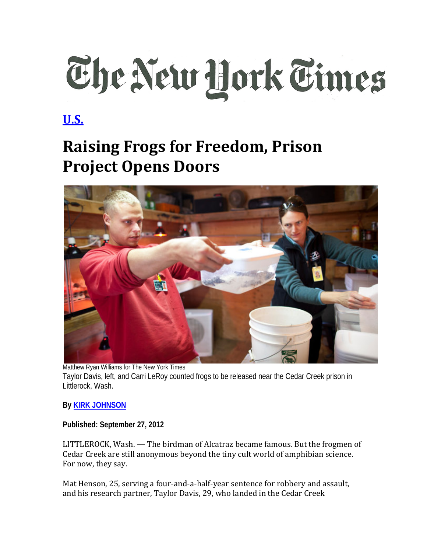## The New Hork Times

## **[U.S.](http://www.nytimes.com/pages/national/index.html)**

## **Raising Frogs for Freedom, Prison Project Opens Doors**



Matthew Ryan Williams for The New York Times Taylor Davis, left, and Carri LeRoy counted frogs to be released near the Cedar Creek prison in Littlerock, Wash.

## **By KIRK [JOHNSON](http://topics.nytimes.com/top/reference/timestopics/people/j/kirk_johnson/index.html)**

**Published: September 27, 2012** 

LITTLEROCK, Wash. — The birdman of Alcatraz became famous. But the frogmen of Cedar Creek are still anonymous beyond the tiny cult world of amphibian science. For now, they say.

Mat Henson, 25, serving a four-and-a-half-year sentence for robbery and assault, and his research partner, Taylor Davis, 29, who landed in the Cedar Creek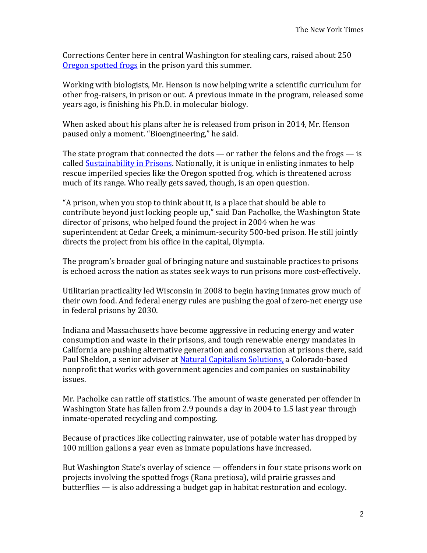Corrections Center here in central Washington for stealing cars, raised about 250 [Oregon spotted frogs](http://www.fws.gov/oregonfwo/Species/Data/OregonSpottedFrog/) in the prison yard this summer.

Working with biologists, Mr. Henson is now helping write a scientific curriculum for other frog-raisers, in prison or out. A previous inmate in the program, released some years ago, is finishing his Ph.D. in molecular biology.

When asked about his plans after he is released from prison in 2014, Mr. Henson paused only a moment. "Bioengineering," he said.

The state program that connected the dots  $-$  or rather the felons and the frogs  $-$  is called [Sustainability in Prisons.](http://blogs.evergreen.edu/sustainableprisons/) Nationally, it is unique in enlisting inmates to help rescue imperiled species like the Oregon spotted frog, which is threatened across much of its range. Who really gets saved, though, is an open question.

"A prison, when you stop to think about it, is a place that should be able to contribute beyond just locking people up," said Dan Pacholke, the Washington State director of prisons, who helped found the project in 2004 when he was superintendent at Cedar Creek, a minimum-security 500-bed prison. He still jointly directs the project from his office in the capital, Olympia.

The program's broader goal of bringing nature and sustainable practices to prisons is echoed across the nation as states seek ways to run prisons more cost-effectively.

Utilitarian practicality led Wisconsin in 2008 to begin having inmates grow much of their own food. And federal energy rules are pushing the goal of zero-net energy use in federal prisons by 2030.

Indiana and Massachusetts have become aggressive in reducing energy and water consumption and waste in their prisons, and tough renewable energy mandates in California are pushing alternative generation and conservation at prisons there, said Paul Sheldon, a senior adviser at [Natural Capitalism Solutions,](http://www.natcapsolutions.org/) a Colorado-based nonprofit that works with government agencies and companies on sustainability issues.

Mr. Pacholke can rattle off statistics. The amount of waste generated per offender in Washington State has fallen from 2.9 pounds a day in 2004 to 1.5 last year through inmate-operated recycling and composting.

Because of practices like collecting rainwater, use of potable water has dropped by 100 million gallons a year even as inmate populations have increased.

But Washington State's overlay of science — offenders in four state prisons work on projects involving the spotted frogs (Rana pretiosa), wild prairie grasses and butterflies — is also addressing a budget gap in habitat restoration and ecology.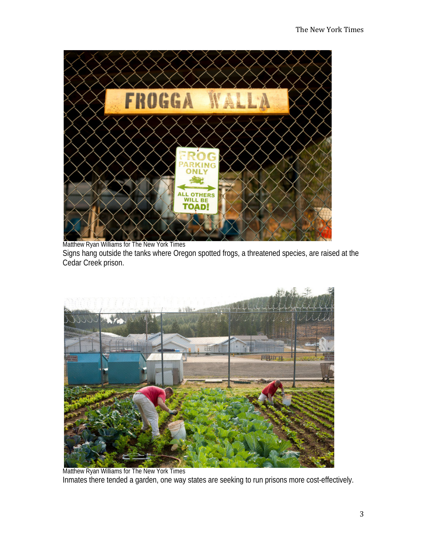

Matthew Ryan Williams for The New York Times

Signs hang outside the tanks where Oregon spotted frogs, a threatened species, are raised at the Cedar Creek prison.



Matthew Ryan Williams for The New York Times Inmates there tended a garden, one way states are seeking to run prisons more cost-effectively.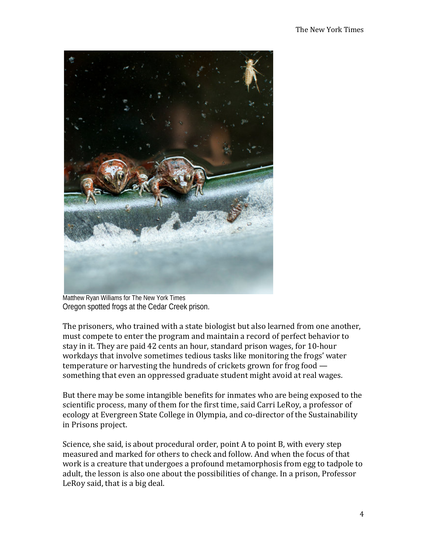

Matthew Ryan Williams for The New York Times Oregon spotted frogs at the Cedar Creek prison.

The prisoners, who trained with a state biologist but also learned from one another, must compete to enter the program and maintain a record of perfect behavior to stay in it. They are paid 42 cents an hour, standard prison wages, for 10-hour workdays that involve sometimes tedious tasks like monitoring the frogs' water temperature or harvesting the hundreds of crickets grown for frog food something that even an oppressed graduate student might avoid at real wages.

But there may be some intangible benefits for inmates who are being exposed to the scientific process, many of them for the first time, said Carri LeRoy, a professor of ecology at Evergreen State College in Olympia, and co-director of the Sustainability in Prisons project.

Science, she said, is about procedural order, point A to point B, with every step measured and marked for others to check and follow. And when the focus of that work is a creature that undergoes a profound metamorphosis from egg to tadpole to adult, the lesson is also one about the possibilities of change. In a prison, Professor LeRoy said, that is a big deal.